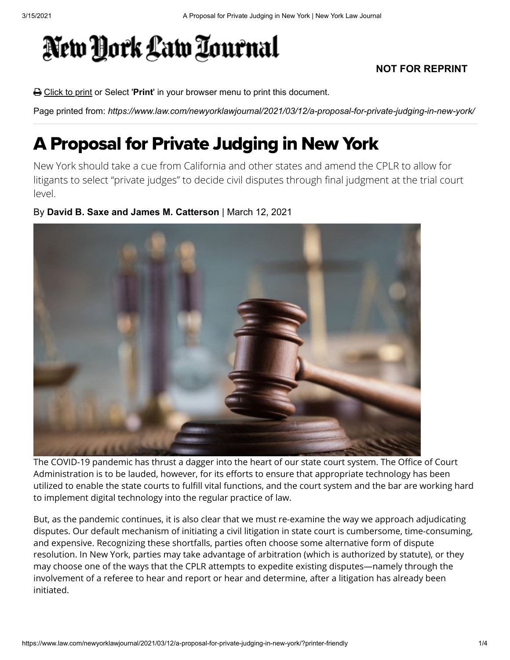## New York Law Tournal

## **NOT FOR REPRINT**

Click to print or Select '**Print**' in your browser menu to print this document.

Page printed from: *https://www.law.com/newyorklawjournal/2021/03/12/a-proposal-for-private-judging-in-new-york/*

## A Proposal for Private Judging in New York

New York should take a cue from California and other states and amend the CPLR to allow for litigants to select "private judges" to decide civil disputes through final judgment at the trial court level.

## By **David B. Saxe and James M. Catterson** | March 12, 2021



The COVID-19 pandemic has thrust a dagger into the heart of our state court system. The Office of Court Administration is to be lauded, however, for its efforts to ensure that appropriate technology has been utilized to enable the state courts to fulfill vital functions, and the court system and the bar are working hard to implement digital technology into the regular practice of law.

But, as the pandemic continues, it is also clear that we must re-examine the way we approach adjudicating disputes. Our default mechanism of initiating a civil litigation in state court is cumbersome, time-consuming, and expensive. Recognizing these shortfalls, parties often choose some alternative form of dispute resolution. In New York, parties may take advantage of arbitration (which is authorized by statute), or they may choose one of the ways that the CPLR attempts to expedite existing disputes—namely through the involvement of a referee to hear and report or hear and determine, after a litigation has already been initiated.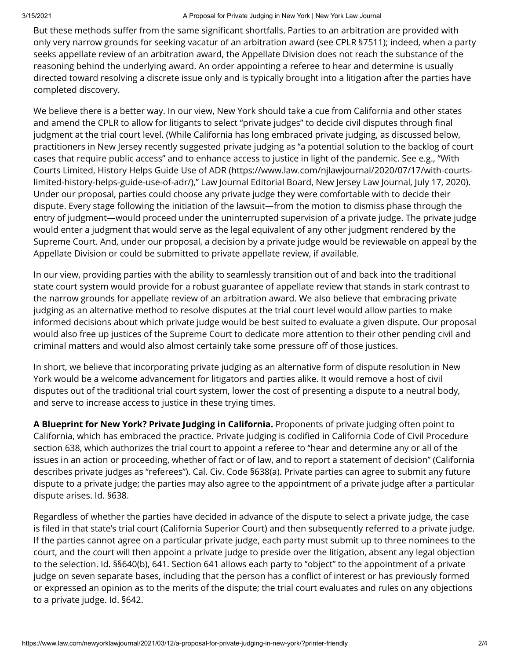But these methods suffer from the same significant shortfalls. Parties to an arbitration are provided with only very narrow grounds for seeking vacatur of an arbitration award (see CPLR §7511); indeed, when a party seeks appellate review of an arbitration award, the Appellate Division does not reach the substance of the reasoning behind the underlying award. An order appointing a referee to hear and determine is usually directed toward resolving a discrete issue only and is typically brought into a litigation after the parties have completed discovery.

We believe there is a better way. In our view, New York should take a cue from California and other states and amend the CPLR to allow for litigants to select "private judges" to decide civil disputes through final judgment at the trial court level. (While California has long embraced private judging, as discussed below, practitioners in New Jersey recently suggested private judging as "a potential solution to the backlog of court cases that require public access" and to enhance access to justice in light of the pandemic. See e.g., "With [Courts Limited, History Helps Guide Use of ADR \(https://www.law.com/njlawjournal/2020/07/17/with-courts](https://www.law.com/njlawjournal/2020/07/17/with-courts-limited-history-helps-guide-use-of-adr/)limited-history-helps-guide-use-of-adr/)," Law Journal Editorial Board, New Jersey Law Journal, July 17, 2020). Under our proposal, parties could choose any private judge they were comfortable with to decide their dispute. Every stage following the initiation of the lawsuit—from the motion to dismiss phase through the entry of judgment—would proceed under the uninterrupted supervision of a private judge. The private judge would enter a judgment that would serve as the legal equivalent of any other judgment rendered by the Supreme Court. And, under our proposal, a decision by a private judge would be reviewable on appeal by the Appellate Division or could be submitted to private appellate review, if available.

In our view, providing parties with the ability to seamlessly transition out of and back into the traditional state court system would provide for a robust guarantee of appellate review that stands in stark contrast to the narrow grounds for appellate review of an arbitration award. We also believe that embracing private judging as an alternative method to resolve disputes at the trial court level would allow parties to make informed decisions about which private judge would be best suited to evaluate a given dispute. Our proposal would also free up justices of the Supreme Court to dedicate more attention to their other pending civil and criminal matters and would also almost certainly take some pressure off of those justices.

In short, we believe that incorporating private judging as an alternative form of dispute resolution in New York would be a welcome advancement for litigators and parties alike. It would remove a host of civil disputes out of the traditional trial court system, lower the cost of presenting a dispute to a neutral body, and serve to increase access to justice in these trying times.

**A Blueprint for New York? Private Judging in California.** Proponents of private judging often point to California, which has embraced the practice. Private judging is codified in California Code of Civil Procedure section 638, which authorizes the trial court to appoint a referee to "hear and determine any or all of the issues in an action or proceeding, whether of fact or of law, and to report a statement of decision" (California describes private judges as "referees"). Cal. Civ. Code §638(a). Private parties can agree to submit any future dispute to a private judge; the parties may also agree to the appointment of a private judge after a particular dispute arises. Id. §638.

Regardless of whether the parties have decided in advance of the dispute to select a private judge, the case is filed in that state's trial court (California Superior Court) and then subsequently referred to a private judge. If the parties cannot agree on a particular private judge, each party must submit up to three nominees to the court, and the court will then appoint a private judge to preside over the litigation, absent any legal objection to the selection. Id. §§640(b), 641. Section 641 allows each party to "object" to the appointment of a private judge on seven separate bases, including that the person has a conflict of interest or has previously formed or expressed an opinion as to the merits of the dispute; the trial court evaluates and rules on any objections to a private judge. Id. §642.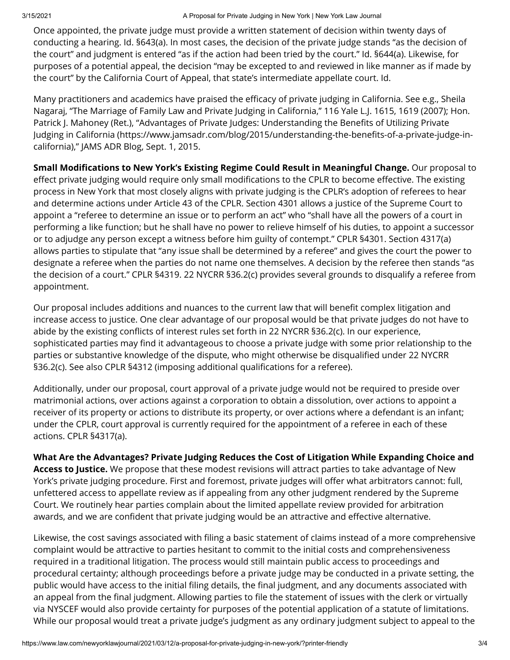Once appointed, the private judge must provide a written statement of decision within twenty days of conducting a hearing. Id. §643(a). In most cases, the decision of the private judge stands "as the decision of the court" and judgment is entered "as if the action had been tried by the court." Id. §644(a). Likewise, for purposes of a potential appeal, the decision "may be excepted to and reviewed in like manner as if made by the court" by the California Court of Appeal, that state's intermediate appellate court. Id.

Many practitioners and academics have praised the efficacy of private judging in California. See e.g., Sheila Nagaraj, "The Marriage of Family Law and Private Judging in California," 116 Yale L.J. 1615, 1619 (2007); Hon. Patrick J. Mahoney (Ret.), "Advantages of Private Judges: Understanding the Benefits of Utilizing Private Judging in California (https://www.jamsadr.com/blog/2015/understanding-the-benefits-of-a-private-judge-incalifornia)," JAMS ADR Blog, Sept. 1, 2015.

**Small Modifications to New York's Existing Regime Could Result in Meaningful Change.** Our proposal to effect private judging would require only small modifications to the CPLR to become effective. The existing process in New York that most closely aligns with private judging is the CPLR's adoption of referees to hear and determine actions under Article 43 of the CPLR. Section 4301 allows a justice of the Supreme Court to appoint a "referee to determine an issue or to perform an act" who "shall have all the powers of a court in performing a like function; but he shall have no power to relieve himself of his duties, to appoint a successor or to adjudge any person except a witness before him guilty of contempt." CPLR §4301. Section 4317(a) allows parties to stipulate that "any issue shall be determined by a referee" and gives the court the power to designate a referee when the parties do not name one themselves. A decision by the referee then stands "as the decision of a court." CPLR §4319. 22 NYCRR §36.2(c) provides several grounds to disqualify a referee from appointment.

Our proposal includes additions and nuances to the current law that will benefit complex litigation and increase access to justice. One clear advantage of our proposal would be that private judges do not have to abide by the existing conflicts of interest rules set forth in 22 NYCRR §36.2(c). In our experience, sophisticated parties may find it advantageous to choose a private judge with some prior relationship to the parties or substantive knowledge of the dispute, who might otherwise be disqualified under 22 NYCRR §36.2(c). See also CPLR §4312 (imposing additional qualifications for a referee).

Additionally, under our proposal, court approval of a private judge would not be required to preside over matrimonial actions, over actions against a corporation to obtain a dissolution, over actions to appoint a receiver of its property or actions to distribute its property, or over actions where a defendant is an infant; under the CPLR, court approval is currently required for the appointment of a referee in each of these actions. CPLR §4317(a).

**What Are the Advantages? Private Judging Reduces the Cost of Litigation While Expanding Choice and Access to Justice.** We propose that these modest revisions will attract parties to take advantage of New York's private judging procedure. First and foremost, private judges will offer what arbitrators cannot: full, unfettered access to appellate review as if appealing from any other judgment rendered by the Supreme Court. We routinely hear parties complain about the limited appellate review provided for arbitration awards, and we are confident that private judging would be an attractive and effective alternative.

Likewise, the cost savings associated with filing a basic statement of claims instead of a more comprehensive complaint would be attractive to parties hesitant to commit to the initial costs and comprehensiveness required in a traditional litigation. The process would still maintain public access to proceedings and procedural certainty; although proceedings before a private judge may be conducted in a private setting, the public would have access to the initial filing details, the final judgment, and any documents associated with an appeal from the final judgment. Allowing parties to file the statement of issues with the clerk or virtually via NYSCEF would also provide certainty for purposes of the potential application of a statute of limitations. While our proposal would treat a private judge's judgment as any ordinary judgment subject to appeal to the